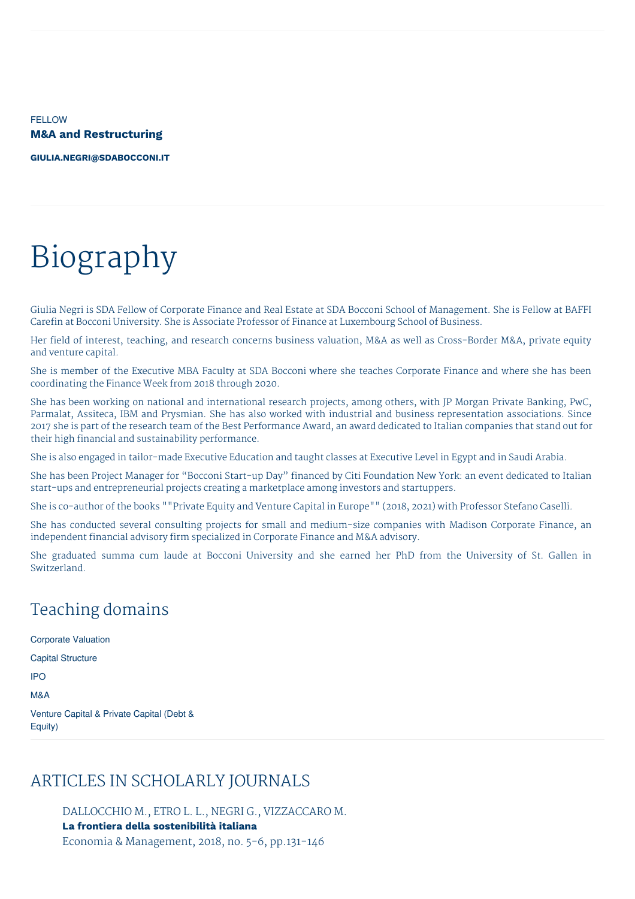**FELLOW M&A and Restructuring**

**[GIULIA.NEGRI@SDABOCCONI.IT](mailto:giulia.negri@sdabocconi.it)**

# Biography

Giulia Negri is SDA Fellow of Corporate Finance and Real Estate at SDA Bocconi School of Management. She is Fellow at BAFFI Carefin at Bocconi University. She is Associate Professor of Finance at Luxembourg School of Business.

Her field of interest, teaching, and research concerns business valuation, M&A as well as Cross-Border M&A, private equity and venture capital.

She is member of the Executive MBA Faculty at SDA Bocconi where she teaches Corporate Finance and where she has been coordinating the Finance Week from 2018 through 2020.

She has been working on national and international research projects, among others, with JP Morgan Private Banking, PwC, Parmalat, Assiteca, IBM and Prysmian. She has also worked with industrial and business representation associations. Since 2017 she is part of the research team of the Best Performance Award, an award dedicated to Italian companies that stand out for their high financial and sustainability performance.

She is also engaged in tailor-made Executive Education and taught classes at Executive Level in Egypt and in Saudi Arabia.

She has been Project Manager for "Bocconi Start-up Day" financed by Citi Foundation New York: an event dedicated to Italian start-ups and entrepreneurial projects creating a marketplace among investors and startuppers.

She is co-author of the books ""Private Equity and Venture Capital in Europe"" (2018, 2021) with Professor Stefano Caselli.

She has conducted several consulting projects for small and medium-size companies with Madison Corporate Finance, an independent financial advisory firm specialized in Corporate Finance and M&A advisory.

She graduated summa cum laude at Bocconi University and she earned her PhD from the University of St. Gallen in Switzerland.

# Teaching domains

Corporate Valuation Capital Structure IPO M&A Venture Capital & Private Capital (Debt & Equity)

## ARTICLES IN SCHOLARLY JOURNALS

DALLOCCHIO M., ETRO L. L., NEGRI G., VIZZACCARO M. **La frontiera della sostenibilità italiana** Economia & Management, 2018, no. 5-6, pp.131-146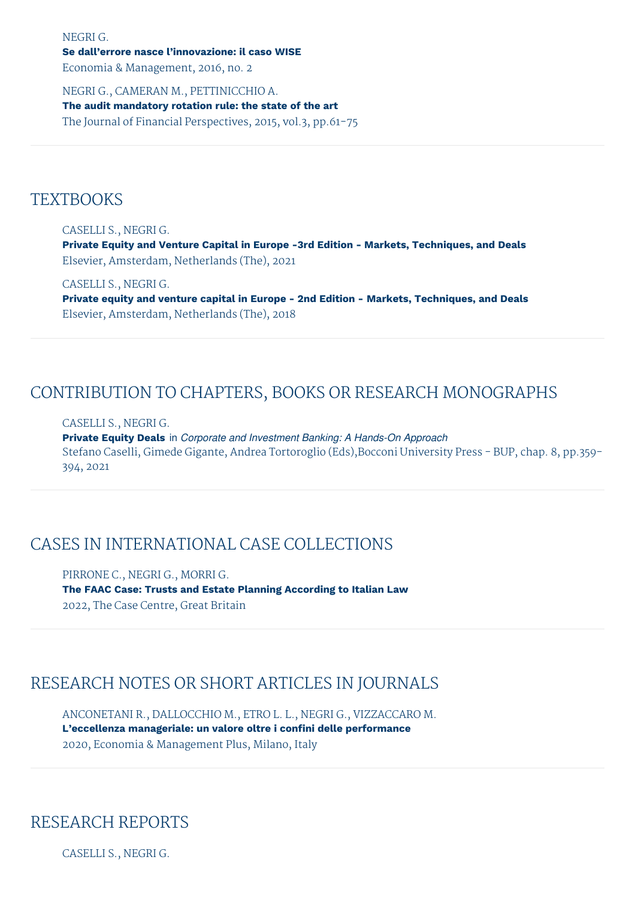NEGRI G.

#### **Se dall'errore nasce l'innovazione: il caso WISE**

Economia & Management, 2016, no. 2

NEGRI G., CAMERAN M., PETTINICCHIO A. **The audit mandatory rotation rule: the state of the art** The Journal of Financial Perspectives, 2015, vol.3, pp.61-75

### **TEXTBOOKS**

CASELLI S., NEGRI G.

**Private Equity and Venture Capital in Europe -3rd Edition - Markets, Techniques, and Deals** Elsevier, Amsterdam, Netherlands (The), 2021

CASELLI S., NEGRI G.

**Private equity and venture capital in Europe - 2nd Edition - Markets, Techniques, and Deals** Elsevier, Amsterdam, Netherlands (The), 2018

## CONTRIBUTION TO CHAPTERS, BOOKS OR RESEARCH MONOGRAPHS

#### CASELLI S., NEGRI G.

**Private Equity Deals** in *Corporate and Investment Banking: A Hands-On Approach* Stefano Caselli, Gimede Gigante, Andrea Tortoroglio (Eds),Bocconi University Press - BUP, chap. 8, pp.359- 394, 2021

## CASES IN INTERNATIONAL CASE COLLECTIONS

PIRRONE C., NEGRI G., MORRI G. **The FAAC Case: Trusts and Estate Planning According to Italian Law** 2022, The Case Centre, Great Britain

## RESEARCH NOTES OR SHORT ARTICLES IN JOURNALS

ANCONETANI R., DALLOCCHIO M., ETRO L. L., NEGRI G., VIZZACCARO M. **L'eccellenza manageriale: un valore oltre i confini delle performance** 2020, Economia & Management Plus, Milano, Italy

## RESEARCH REPORTS

CASELLI S., NEGRI G.